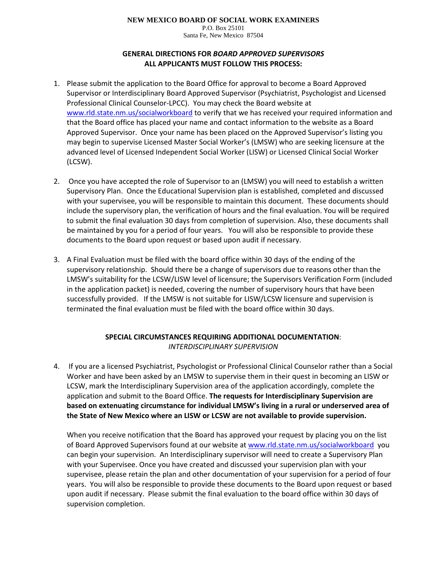# **NEW MEXICO BOARD OF SOCIAL WORK EXAMINERS**

P.O. Box 25101 Santa Fe, New Mexico 87504

# **GENERAL DIRECTIONS FOR** *BOARD APPROVED SUPERVISORS* **ALL APPLICANTS MUST FOLLOW THIS PROCESS:**

- 1. Please submit the application to the Board Office for approval to become a Board Approved Supervisor or Interdisciplinary Board Approved Supervisor (Psychiatrist, Psychologist and Licensed Professional Clinical Counselor-LPCC). You may check the Board website at [www.rld.state.nm.us/socialworkboard](http://www.rld.state.nm.us/socialworkboard) to verify that we has received your required information and that the Board office has placed your name and contact information to the website as a Board Approved Supervisor. Once your name has been placed on the Approved Supervisor's listing you may begin to supervise Licensed Master Social Worker's (LMSW) who are seeking licensure at the advanced level of Licensed Independent Social Worker (LISW) or Licensed Clinical Social Worker (LCSW).
- 2. Once you have accepted the role of Supervisor to an (LMSW) you will need to establish a written Supervisory Plan. Once the Educational Supervision plan is established, completed and discussed with your supervisee, you will be responsible to maintain this document. These documents should include the supervisory plan, the verification of hours and the final evaluation. You will be required to submit the final evaluation 30 days from completion of supervision. Also, these documents shall be maintained by you for a period of four years. You will also be responsible to provide these documents to the Board upon request or based upon audit if necessary.
- 3. A Final Evaluation must be filed with the board office within 30 days of the ending of the supervisory relationship. Should there be a change of supervisors due to reasons other than the LMSW's suitability for the LCSW/LISW level of licensure; the Supervisors Verification Form (included in the application packet) is needed, covering the number of supervisory hours that have been successfully provided. If the LMSW is not suitable for LISW/LCSW licensure and supervision is terminated the final evaluation must be filed with the board office within 30 days.

## **SPECIAL CIRCUMSTANCES REQUIRING ADDITIONAL DOCUMENTATION**: *INTERDISCIPLINARY SUPERVISION*

4. If you are a licensed Psychiatrist, Psychologist or Professional Clinical Counselor rather than a Social Worker and have been asked by an LMSW to supervise them in their quest in becoming an LISW or LCSW, mark the Interdisciplinary Supervision area of the application accordingly, complete the application and submit to the Board Office. **The requests for Interdisciplinary Supervision are based on extenuating circumstance for individual LMSW's living in a rural or underserved area of the State of New Mexico where an LISW or LCSW are not available to provide supervision.**

When you receive notification that the Board has approved your request by placing you on the list of Board Approved Supervisors found at our website at [www.rld.state.nm.us/socialworkboard](http://www.rld.state.nm.us/socialworkboard) you can begin your supervision. An Interdisciplinary supervisor will need to create a Supervisory Plan with your Supervisee. Once you have created and discussed your supervision plan with your supervisee, please retain the plan and other documentation of your supervision for a period of four years. You will also be responsible to provide these documents to the Board upon request or based upon audit if necessary. Please submit the final evaluation to the board office within 30 days of supervision completion.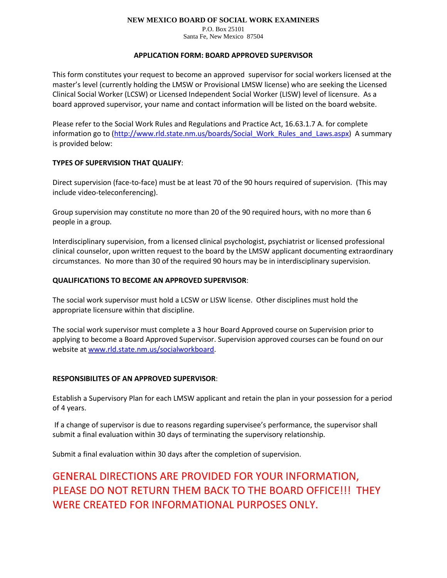### **NEW MEXICO BOARD OF SOCIAL WORK EXAMINERS**

P.O. Box 25101 Santa Fe, New Mexico 87504

### **APPLICATION FORM: BOARD APPROVED SUPERVISOR**

This form constitutes your request to become an approved supervisor for social workers licensed at the master's level (currently holding the LMSW or Provisional LMSW license) who are seeking the Licensed Clinical Social Worker (LCSW) or Licensed Independent Social Worker (LISW) level of licensure. As a board approved supervisor, your name and contact information will be listed on the board website.

Please refer to the Social Work Rules and Regulations and Practice Act, 16.63.1.7 A. for complete information go to [\(http://www.rld.state.nm.us/boards/Social\\_Work\\_Rules\\_and\\_Laws.aspx\)](http://www.rld.state.nm.us/boards/Social_Work_Rules_and_Laws.aspx) A summary is provided below:

## **TYPES OF SUPERVISION THAT QUALIFY**:

Direct supervision (face-to-face) must be at least 70 of the 90 hours required of supervision. (This may include video-teleconferencing).

Group supervision may constitute no more than 20 of the 90 required hours, with no more than 6 people in a group.

Interdisciplinary supervision, from a licensed clinical psychologist, psychiatrist or licensed professional clinical counselor, upon written request to the board by the LMSW applicant documenting extraordinary circumstances. No more than 30 of the required 90 hours may be in interdisciplinary supervision.

### **QUALIFICATIONS TO BECOME AN APPROVED SUPERVISOR**:

The social work supervisor must hold a LCSW or LISW license. Other disciplines must hold the appropriate licensure within that discipline.

The social work supervisor must complete a 3 hour Board Approved course on Supervision prior to applying to become a Board Approved Supervisor. Supervision approved courses can be found on our website at [www.rld.state.nm.us/socialworkboard.](http://www.rld.state.nm.us/socialworkboard)

## **RESPONSIBILITES OF AN APPROVED SUPERVISOR**:

Establish a Supervisory Plan for each LMSW applicant and retain the plan in your possession for a period of 4 years.

If a change of supervisor is due to reasons regarding supervisee's performance, the supervisor shall submit a final evaluation within 30 days of terminating the supervisory relationship.

Submit a final evaluation within 30 days after the completion of supervision.

GENERAL DIRECTIONS ARE PROVIDED FOR YOUR INFORMATION, PLEASE DO NOT RETURN THEM BACK TO THE BOARD OFFICE!!! THEY WERE CREATED FOR INFORMATIONAL PURPOSES ONLY.